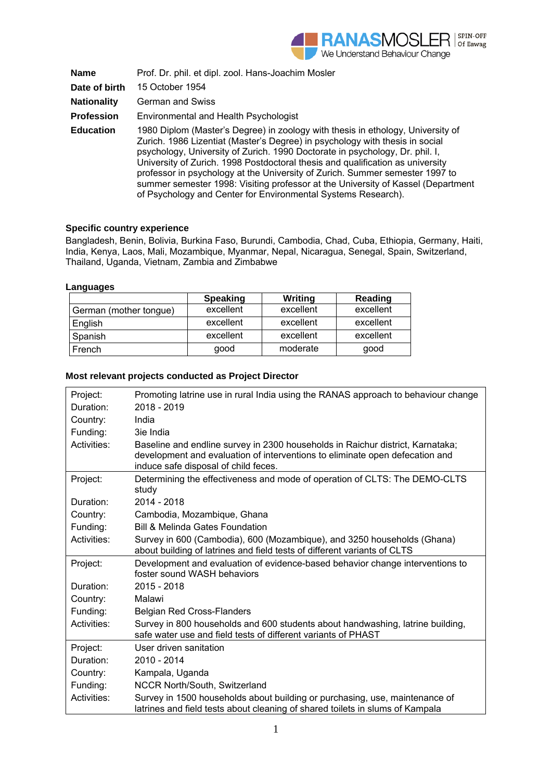

| <b>Name</b>        | Prof. Dr. phil. et dipl. zool. Hans-Joachim Mosler                                                                                                                                                                                                                                                                                                                                                                                                                                                                                                                     |
|--------------------|------------------------------------------------------------------------------------------------------------------------------------------------------------------------------------------------------------------------------------------------------------------------------------------------------------------------------------------------------------------------------------------------------------------------------------------------------------------------------------------------------------------------------------------------------------------------|
| Date of birth      | 15 October 1954                                                                                                                                                                                                                                                                                                                                                                                                                                                                                                                                                        |
| <b>Nationality</b> | German and Swiss                                                                                                                                                                                                                                                                                                                                                                                                                                                                                                                                                       |
| <b>Profession</b>  | Environmental and Health Psychologist                                                                                                                                                                                                                                                                                                                                                                                                                                                                                                                                  |
| <b>Education</b>   | 1980 Diplom (Master's Degree) in zoology with thesis in ethology, University of<br>Zurich. 1986 Lizentiat (Master's Degree) in psychology with thesis in social<br>psychology, University of Zurich. 1990 Doctorate in psychology, Dr. phil. I,<br>University of Zurich. 1998 Postdoctoral thesis and qualification as university<br>professor in psychology at the University of Zurich. Summer semester 1997 to<br>summer semester 1998: Visiting professor at the University of Kassel (Department<br>of Psychology and Center for Environmental Systems Research). |

## **Specific country experience**

Bangladesh, Benin, Bolivia, Burkina Faso, Burundi, Cambodia, Chad, Cuba, Ethiopia, Germany, Haiti, India, Kenya, Laos, Mali, Mozambique, Myanmar, Nepal, Nicaragua, Senegal, Spain, Switzerland, Thailand, Uganda, Vietnam, Zambia and Zimbabwe

## **Languages**

|                        | <b>Speaking</b> | Writing   | Reading   |
|------------------------|-----------------|-----------|-----------|
| German (mother tongue) | excellent       | excellent | excellent |
| English                | excellent       | excellent | excellent |
| Spanish                | excellent       | excellent | excellent |
| French                 | qood            | moderate  | good      |

## **Most relevant projects conducted as Project Director**

| Project:    | Promoting latrine use in rural India using the RANAS approach to behaviour change                                                                                                                      |
|-------------|--------------------------------------------------------------------------------------------------------------------------------------------------------------------------------------------------------|
| Duration:   | 2018 - 2019                                                                                                                                                                                            |
| Country:    | India                                                                                                                                                                                                  |
| Funding:    | 3ie India                                                                                                                                                                                              |
| Activities: | Baseline and endline survey in 2300 households in Raichur district, Karnataka;<br>development and evaluation of interventions to eliminate open defecation and<br>induce safe disposal of child feces. |
| Project:    | Determining the effectiveness and mode of operation of CLTS: The DEMO-CLTS<br>study                                                                                                                    |
| Duration:   | 2014 - 2018                                                                                                                                                                                            |
| Country:    | Cambodia, Mozambique, Ghana                                                                                                                                                                            |
| Funding:    | <b>Bill &amp; Melinda Gates Foundation</b>                                                                                                                                                             |
| Activities: | Survey in 600 (Cambodia), 600 (Mozambique), and 3250 households (Ghana)<br>about building of latrines and field tests of different variants of CLTS                                                    |
| Project:    | Development and evaluation of evidence-based behavior change interventions to<br>foster sound WASH behaviors                                                                                           |
| Duration:   | 2015 - 2018                                                                                                                                                                                            |
| Country:    | Malawi                                                                                                                                                                                                 |
| Funding:    | <b>Belgian Red Cross-Flanders</b>                                                                                                                                                                      |
| Activities: | Survey in 800 households and 600 students about handwashing, latrine building,<br>safe water use and field tests of different variants of PHAST                                                        |
| Project:    | User driven sanitation                                                                                                                                                                                 |
| Duration:   | 2010 - 2014                                                                                                                                                                                            |
| Country:    | Kampala, Uganda                                                                                                                                                                                        |
| Funding:    | NCCR North/South, Switzerland                                                                                                                                                                          |
| Activities: | Survey in 1500 households about building or purchasing, use, maintenance of<br>latrines and field tests about cleaning of shared toilets in slums of Kampala                                           |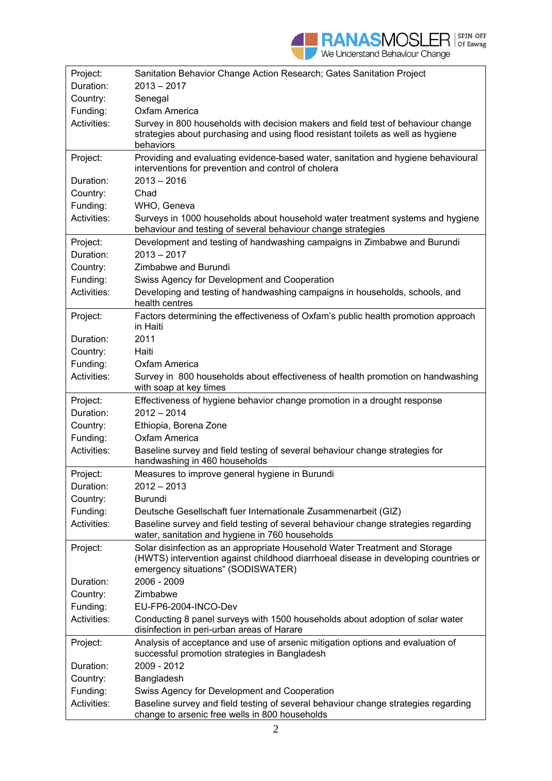| Project:    | Sanitation Behavior Change Action Research; Gates Sanitation Project                                                                                                                                    |
|-------------|---------------------------------------------------------------------------------------------------------------------------------------------------------------------------------------------------------|
| Duration:   | 2013 - 2017                                                                                                                                                                                             |
| Country:    | Senegal                                                                                                                                                                                                 |
| Funding:    | Oxfam America                                                                                                                                                                                           |
| Activities: | Survey in 800 households with decision makers and field test of behaviour change<br>strategies about purchasing and using flood resistant toilets as well as hygiene<br>behaviors                       |
| Project:    | Providing and evaluating evidence-based water, sanitation and hygiene behavioural<br>interventions for prevention and control of cholera                                                                |
| Duration:   | $2013 - 2016$                                                                                                                                                                                           |
| Country:    | Chad                                                                                                                                                                                                    |
| Funding:    | WHO, Geneva                                                                                                                                                                                             |
| Activities: | Surveys in 1000 households about household water treatment systems and hygiene<br>behaviour and testing of several behaviour change strategies                                                          |
| Project:    | Development and testing of handwashing campaigns in Zimbabwe and Burundi                                                                                                                                |
| Duration:   | $2013 - 2017$                                                                                                                                                                                           |
| Country:    | Zimbabwe and Burundi                                                                                                                                                                                    |
| Funding:    | Swiss Agency for Development and Cooperation                                                                                                                                                            |
| Activities: | Developing and testing of handwashing campaigns in households, schools, and<br>health centres                                                                                                           |
| Project:    | Factors determining the effectiveness of Oxfam's public health promotion approach<br>in Haiti                                                                                                           |
| Duration:   | 2011                                                                                                                                                                                                    |
| Country:    | Haiti                                                                                                                                                                                                   |
| Funding:    | Oxfam America                                                                                                                                                                                           |
| Activities: | Survey in 800 households about effectiveness of health promotion on handwashing<br>with soap at key times                                                                                               |
|             |                                                                                                                                                                                                         |
| Project:    | Effectiveness of hygiene behavior change promotion in a drought response                                                                                                                                |
| Duration:   | $2012 - 2014$                                                                                                                                                                                           |
| Country:    | Ethiopia, Borena Zone                                                                                                                                                                                   |
| Funding:    | Oxfam America                                                                                                                                                                                           |
| Activities: | Baseline survey and field testing of several behaviour change strategies for<br>handwashing in 460 households                                                                                           |
| Project:    | Measures to improve general hygiene in Burundi                                                                                                                                                          |
| Duration:   | 2012 – 2013                                                                                                                                                                                             |
| Country:    | <b>Burundi</b>                                                                                                                                                                                          |
| Funding:    | Deutsche Gesellschaft fuer Internationale Zusammenarbeit (GIZ)                                                                                                                                          |
| Activities: | Baseline survey and field testing of several behaviour change strategies regarding<br>water, sanitation and hygiene in 760 households                                                                   |
| Project:    | Solar disinfection as an appropriate Household Water Treatment and Storage<br>(HWTS) intervention against childhood diarrhoeal disease in developing countries or<br>emergency situations" (SODISWATER) |
| Duration:   | 2006 - 2009                                                                                                                                                                                             |
| Country:    | Zimbabwe                                                                                                                                                                                                |
| Funding:    | EU-FP6-2004-INCO-Dev                                                                                                                                                                                    |
| Activities: | Conducting 8 panel surveys with 1500 households about adoption of solar water<br>disinfection in peri-urban areas of Harare                                                                             |
| Project:    | Analysis of acceptance and use of arsenic mitigation options and evaluation of<br>successful promotion strategies in Bangladesh                                                                         |
| Duration:   | 2009 - 2012                                                                                                                                                                                             |
| Country:    | Bangladesh                                                                                                                                                                                              |
| Funding:    | Swiss Agency for Development and Cooperation                                                                                                                                                            |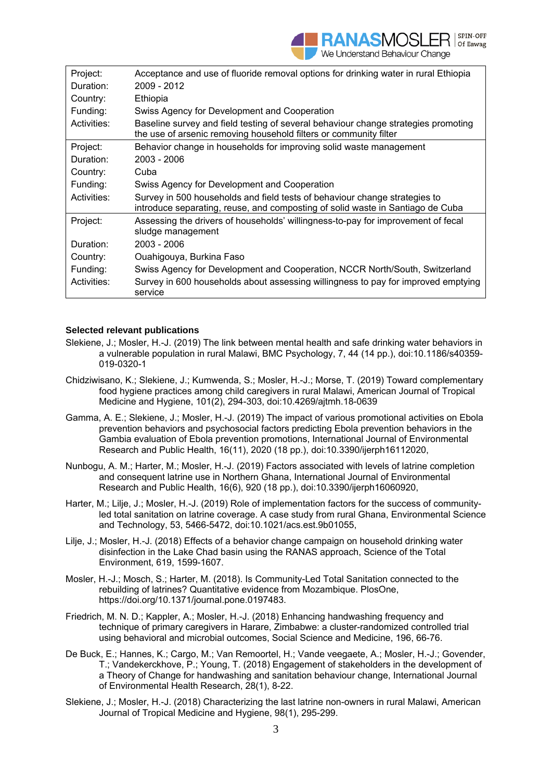| Project:    | Acceptance and use of fluoride removal options for drinking water in rural Ethiopia                                                                          |
|-------------|--------------------------------------------------------------------------------------------------------------------------------------------------------------|
| Duration:   | 2009 - 2012                                                                                                                                                  |
| Country:    | Ethiopia                                                                                                                                                     |
| Funding:    | Swiss Agency for Development and Cooperation                                                                                                                 |
| Activities: | Baseline survey and field testing of several behaviour change strategies promoting<br>the use of arsenic removing household filters or community filter      |
| Project:    | Behavior change in households for improving solid waste management                                                                                           |
| Duration:   | 2003 - 2006                                                                                                                                                  |
| Country:    | Cuba                                                                                                                                                         |
| Funding:    | Swiss Agency for Development and Cooperation                                                                                                                 |
| Activities: | Survey in 500 households and field tests of behaviour change strategies to<br>introduce separating, reuse, and composting of solid waste in Santiago de Cuba |
| Project:    | Assessing the drivers of households' willingness-to-pay for improvement of fecal<br>sludge management                                                        |
| Duration:   | 2003 - 2006                                                                                                                                                  |
| Country:    | Ouahigouya, Burkina Faso                                                                                                                                     |
| Funding:    | Swiss Agency for Development and Cooperation, NCCR North/South, Switzerland                                                                                  |
| Activities: | Survey in 600 households about assessing willingness to pay for improved emptying<br>service                                                                 |

## **Selected relevant publications**

- Slekiene, J.; Mosler, H.-J. (2019) The link between mental health and safe drinking water behaviors in a vulnerable population in rural Malawi, BMC Psychology, 7, 44 (14 pp.), doi:10.1186/s40359- 019-0320-1
- Chidziwisano, K.; Slekiene, J.; Kumwenda, S.; Mosler, H.-J.; Morse, T. (2019) Toward complementary food hygiene practices among child caregivers in rural Malawi, American Journal of Tropical Medicine and Hygiene, 101(2), 294-303, doi:10.4269/ajtmh.18-0639
- Gamma, A. E.; Slekiene, J.; Mosler, H.-J. (2019) The impact of various promotional activities on Ebola prevention behaviors and psychosocial factors predicting Ebola prevention behaviors in the Gambia evaluation of Ebola prevention promotions, International Journal of Environmental Research and Public Health, 16(11), 2020 (18 pp.), doi:10.3390/ijerph16112020,
- Nunbogu, A. M.; Harter, M.; Mosler, H.-J. (2019) Factors associated with levels of latrine completion and consequent latrine use in Northern Ghana, International Journal of Environmental Research and Public Health, 16(6), 920 (18 pp.), doi:10.3390/ijerph16060920,
- Harter, M.; Lilje, J.; Mosler, H.-J. (2019) Role of implementation factors for the success of communityled total sanitation on latrine coverage. A case study from rural Ghana, Environmental Science and Technology, 53, 5466-5472, doi:10.1021/acs.est.9b01055,
- Lilje, J.; Mosler, H.-J. (2018) Effects of a behavior change campaign on household drinking water disinfection in the Lake Chad basin using the RANAS approach, Science of the Total Environment, 619, 1599-1607.
- Mosler, H.-J.; Mosch, S.; Harter, M. (2018). Is Community-Led Total Sanitation connected to the rebuilding of latrines? Quantitative evidence from Mozambique. PlosOne, https://doi.org/10.1371/journal.pone.0197483.
- Friedrich, M. N. D.; Kappler, A.; Mosler, H.-J. (2018) Enhancing handwashing frequency and technique of primary caregivers in Harare, Zimbabwe: a cluster-randomized controlled trial using behavioral and microbial outcomes, Social Science and Medicine, 196, 66-76.
- De Buck, E.; Hannes, K.; Cargo, M.; Van Remoortel, H.; Vande veegaete, A.; Mosler, H.-J.; Govender, T.; Vandekerckhove, P.; Young, T. (2018) Engagement of stakeholders in the development of a Theory of Change for handwashing and sanitation behaviour change, International Journal of Environmental Health Research, 28(1), 8-22.
- Slekiene, J.; Mosler, H.-J. (2018) Characterizing the last latrine non-owners in rural Malawi, American Journal of Tropical Medicine and Hygiene, 98(1), 295-299.